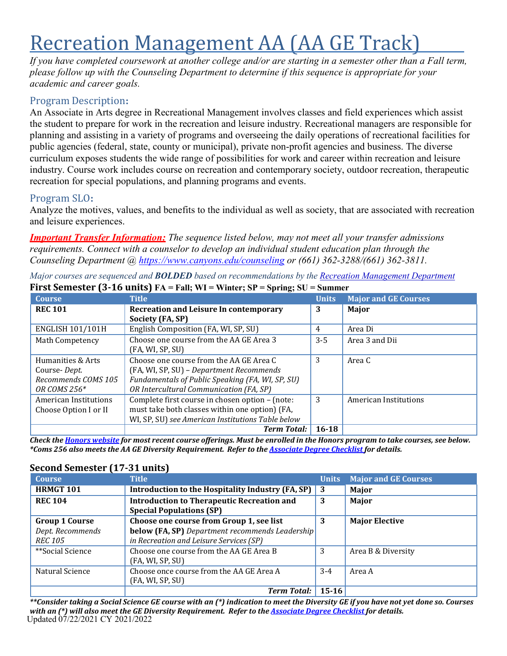# Recreation Management AA (AA GE Track)

*If you have completed coursework at another college and/or are starting in a semester other than a Fall term, please follow up with the Counseling Department to determine if this sequence is appropriate for your academic and career goals.*

# Program Description**:**

An Associate in Arts degree in Recreational Management involves classes and field experiences which assist the student to prepare for work in the recreation and leisure industry. Recreational managers are responsible for planning and assisting in a variety of programs and overseeing the daily operations of recreational facilities for public agencies (federal, state, county or municipal), private non-profit agencies and business. The diverse curriculum exposes students the wide range of possibilities for work and career within recreation and leisure industry. Course work includes course on recreation and contemporary society, outdoor recreation, therapeutic recreation for special populations, and planning programs and events.

## Program SLO**:**

Analyze the motives, values, and benefits to the individual as well as society, that are associated with recreation and leisure experiences.

*Important Transfer Information: The sequence listed below, may not meet all your transfer admissions requirements. Connect with a counselor to develop an individual student education plan through the Counseling Department @ <https://www.canyons.edu/counseling> or (661) 362-3288/(661) 362-3811.*

|                         | THE PURISHER TO TO MILLET THE TAIL, WE WHILE, ST<br>$v$ <sup>D</sup> | oummu        |                             |
|-------------------------|----------------------------------------------------------------------|--------------|-----------------------------|
| <b>Course</b>           | <b>Title</b>                                                         | <b>Units</b> | <b>Major and GE Courses</b> |
| <b>REC 101</b>          | <b>Recreation and Leisure In contemporary</b>                        | 3            | Major                       |
|                         | Society (FA, SP)                                                     |              |                             |
| <b>ENGLISH 101/101H</b> | English Composition (FA, WI, SP, SU)                                 | 4            | Area Di                     |
| Math Competency         | Choose one course from the AA GE Area 3                              | $3 - 5$      | Area 3 and Dii              |
|                         | (FA, WI, SP, SU)                                                     |              |                             |
| Humanities & Arts       | Choose one course from the AA GE Area C                              | 3            | Area C                      |
| Course-Dept.            | (FA, WI, SP, SU) - Department Recommends                             |              |                             |
| Recommends COMS 105     | Fundamentals of Public Speaking (FA, WI, SP, SU)                     |              |                             |
| OR COMS 256*            | OR Intercultural Communication (FA, SP)                              |              |                             |
| American Institutions   | Complete first course in chosen option - (note:                      | 3            | American Institutions       |
| Choose Option I or II   | must take both classes within one option) (FA,                       |              |                             |
|                         | WI, SP, SU) see American Institutions Table below                    |              |                             |
|                         | <b>Term Total:</b>                                                   | $16 - 18$    |                             |

*Major courses are sequenced and BOLDED based on recommendations by the Recreation [Management](https://www.canyons.edu/academics/recreation/index.php) Department* **First Semester (3-16 units) FA = Fall; WI = Winter; SP = Spring; SU = Summer**

Check the Honors [website](https://www.canyons.edu/academics/honors/index.php) for most recent course offerings. Must be enrolled in the Honors program to take courses, see below. \*Coms 256 also meets the AA GE Diversity Requirement. Refer to the **[Associate](https://www.canyons.edu/studentservices/counseling/degrees/generaled.php) Degree Checklist for** details.

# **Second Semester (17-31 units)**

| <b>Course</b>         | <b>Title</b>                                                                         | <b>Units</b> | <b>Major and GE Courses</b> |
|-----------------------|--------------------------------------------------------------------------------------|--------------|-----------------------------|
| <b>HRMGT 101</b>      | Introduction to the Hospitality Industry (FA, SP) 3                                  |              | Major                       |
| <b>REC 104</b>        | <b>Introduction to Therapeutic Recreation and</b><br><b>Special Populations (SP)</b> | 3            | Major                       |
| <b>Group 1 Course</b> | Choose one course from Group 1, see list                                             | 3            | <b>Major Elective</b>       |
| Dept. Recommends      | below (FA, SP) Department recommends Leadership                                      |              |                             |
| <b>REC 105</b>        | in Recreation and Leisure Services (SP)                                              |              |                             |
| **Social Science      | Choose one course from the AA GE Area B                                              | 3            | Area B & Diversity          |
|                       | (FA, WI, SP, SU)                                                                     |              |                             |
| Natural Science       | Choose once course from the AA GE Area A                                             | $3-4$        | Area A                      |
|                       | (FA, WI, SP, SU)                                                                     |              |                             |
|                       | <b>Term Total:</b>                                                                   | $15 - 16$    |                             |

Updated 07/22/2021 CY 2021/2022 *\*\*Consider taking a Social Science GE course with an (\*) indication to meet the Diversity GE if you have not yet done so. Courses with an (\*) will also meet the GE Diversity Requirement. Refer to the Associate [Degree Checklist](https://www.canyons.edu/studentservices/counseling/degrees/generaled.php) for details.*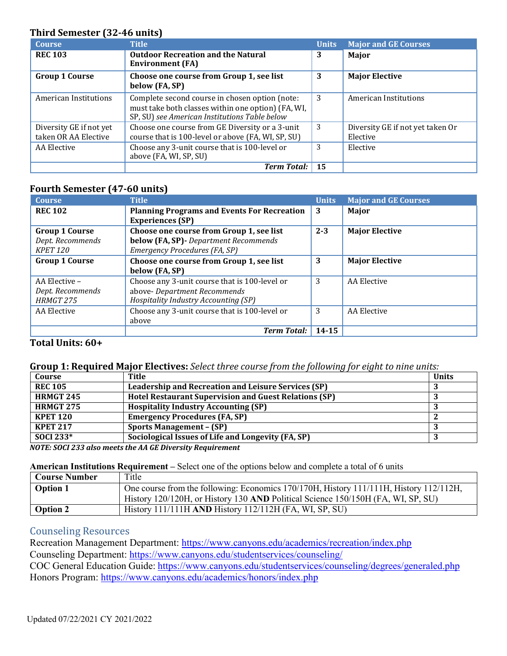#### **Third Semester (32-46 units)**

| <b>Course</b>                                   | <b>Title</b>                                                                                                                                          | <b>Units</b> | <b>Major and GE Courses</b>                  |
|-------------------------------------------------|-------------------------------------------------------------------------------------------------------------------------------------------------------|--------------|----------------------------------------------|
| <b>REC 103</b>                                  | <b>Outdoor Recreation and the Natural</b><br><b>Environment (FA)</b>                                                                                  | 3            | Major                                        |
| <b>Group 1 Course</b>                           | Choose one course from Group 1, see list<br>below (FA, SP)                                                                                            | 3            | <b>Major Elective</b>                        |
| American Institutions                           | Complete second course in chosen option (note:<br>must take both classes within one option) (FA, WI,<br>SP, SU) see American Institutions Table below | 3            | American Institutions                        |
| Diversity GE if not yet<br>taken OR AA Elective | Choose one course from GE Diversity or a 3-unit<br>course that is 100-level or above (FA, WI, SP, SU)                                                 | 3            | Diversity GE if not yet taken Or<br>Elective |
| AA Elective                                     | Choose any 3-unit course that is 100-level or<br>above (FA, WI, SP, SU)                                                                               | 3            | Elective                                     |
|                                                 | <b>Term Total:</b>                                                                                                                                    | 15           |                                              |

#### **Fourth Semester (47-60 units)**

| <b>Course</b>                                         | <b>Title</b>                                                                                                          | <b>Units</b> | <b>Major and GE Courses</b> |
|-------------------------------------------------------|-----------------------------------------------------------------------------------------------------------------------|--------------|-----------------------------|
| <b>REC 102</b>                                        | <b>Planning Programs and Events For Recreation</b><br><b>Experiences (SP)</b>                                         | 3            | <b>Major</b>                |
| <b>Group 1 Course</b><br>Dept. Recommends<br>KPET 120 | Choose one course from Group 1, see list<br>below (FA, SP) - Department Recommends<br>Emergency Procedures (FA, SP)   | $2 - 3$      | <b>Major Elective</b>       |
| <b>Group 1 Course</b>                                 | Choose one course from Group 1, see list<br>below (FA, SP)                                                            | 3            | <b>Major Elective</b>       |
| AA Elective -<br>Dept. Recommends<br>HRMGT 275        | Choose any 3-unit course that is 100-level or<br>above- Department Recommends<br>Hospitality Industry Accounting (SP) | 3            | AA Elective                 |
| AA Elective                                           | Choose any 3-unit course that is 100-level or<br>above                                                                | 3            | AA Elective                 |
|                                                       | <b>Term Total:</b>                                                                                                    | $14 - 15$    |                             |

#### **Total Units: 60+**

#### **Group 1: Required Major Electives:** *Select three course from the following for eight to nine units:*

| Title                                                        | <b>Units</b> |
|--------------------------------------------------------------|--------------|
| Leadership and Recreation and Leisure Services (SP)          |              |
| <b>Hotel Restaurant Supervision and Guest Relations (SP)</b> |              |
| <b>Hospitality Industry Accounting (SP)</b>                  |              |
| <b>Emergency Procedures (FA, SP)</b>                         |              |
| <b>Sports Management - (SP)</b>                              |              |
| Sociological Issues of Life and Longevity (FA, SP)           |              |
|                                                              |              |

*NOTE: SOCI 233 also meets the AA GE Diversity Requirement*

#### **American Institutions Requirement –** Select one of the options below and complete a total of 6 units

| Course Number | Title                                                                                  |
|---------------|----------------------------------------------------------------------------------------|
| Option 1      | One course from the following: Economics 170/170H, History 111/111H, History 112/112H, |
|               | History 120/120H, or History 130 AND Political Science 150/150H (FA, WI, SP, SU)       |
| Option 2      | History 111/111H AND History 112/112H (FA, WI, SP, SU)                                 |

### Counseling Resources

Recreation Management Department:<https://www.canyons.edu/academics/recreation/index.php> Counseling Department: <https://www.canyons.edu/studentservices/counseling/> COC General Education Guide: <https://www.canyons.edu/studentservices/counseling/degrees/generaled.php> Honors Program:<https://www.canyons.edu/academics/honors/index.php>